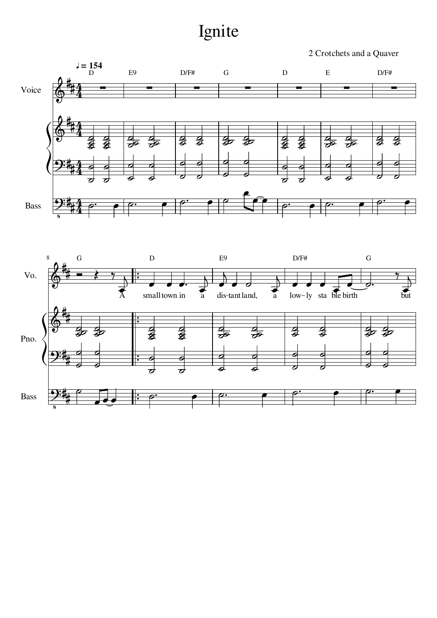## Ignite

2 Crotchets and a Quaver



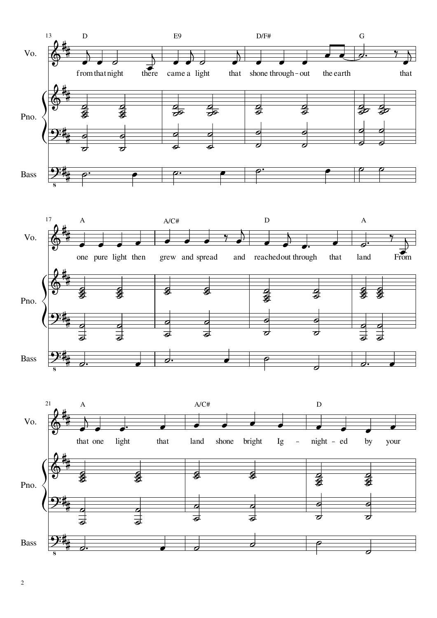



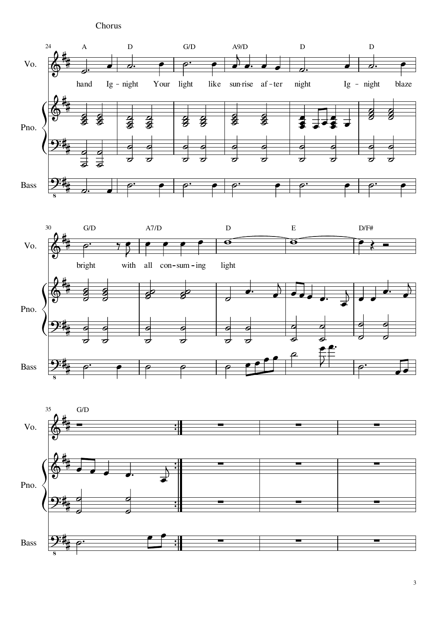Chorus







3